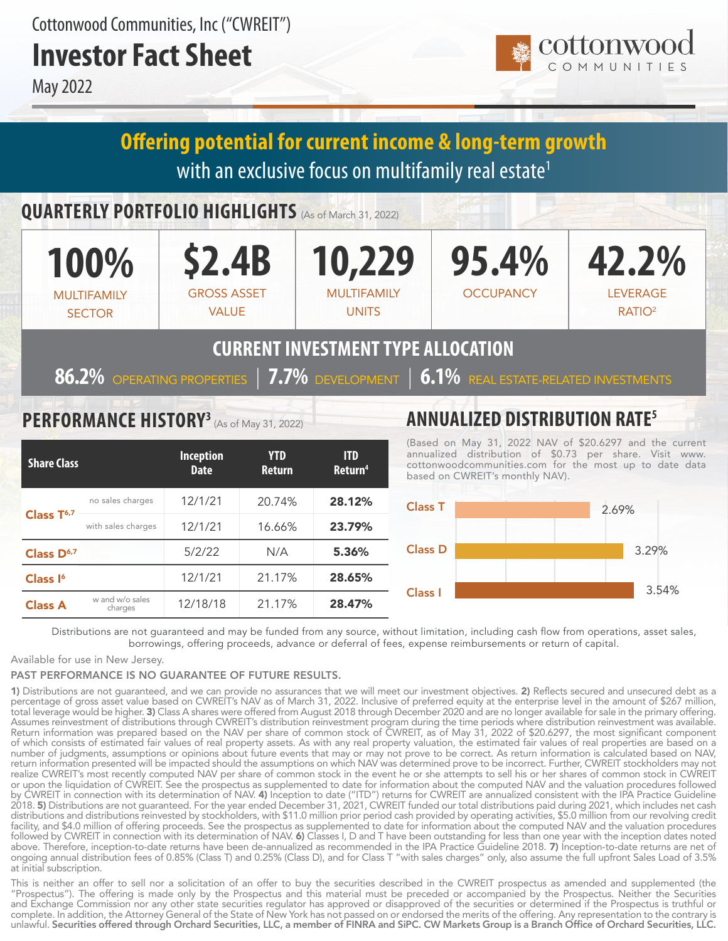# **Investor Fact Sheet**

May 2022



## **Offering potential for current income & long-term growth** with an exclusive focus on multifamily real estate<sup>1</sup>

## **QUARTERLY PORTFOLIO HIGHLIGHTS** (As of March 31, 2022)

| 100%               |
|--------------------|
| <b>MULTIFAMILY</b> |
| <b>SECTOR</b>      |









RATIO2

## **CURRENT INVESTMENT TYPE ALLOCATION**

**86.2%** OPERATING PROPERTIES | **7.7%** DEVELOPMENT | **6.1%** REAL ESTATE-RELATED INVESTMENTS

PERFORMANCE HISTORY<sup>3</sup> (As of May 31, 2022)

**ITD Return4**

21.17% 28.65%

21.17% 28.47%

16.66% 23.79%

20.74% 28.12%

N/A 5.36%

**YTD Return**

## **ANNUALIZED DISTRIBUTION RATE5**

(Based on May 31, 2022 NAV of \$20.6297 and the current annualized distribution of \$0.73 per share. Visit www. cottonwoodcommunities.com for the most up to date data based on CWREIT's monthly NAV).



Distributions are not guaranteed and may be funded from any source, without limitation, including cash flow from operations, asset sales, borrowings, offering proceeds, advance or deferral of fees, expense reimbursements or return of capital.

Available for use in New Jersey.

 $Class A$   $W^{and W/O\, Sales}$  12/18/18

w and w/o sales charges

Class I<sup>6</sup> 12/1/21

with sales charges

no sales charges

Class T<sup>6,7</sup>

 **Share Class**

Class D<sup>6,7</sup>

#### PAST PERFORMANCE IS NO GUARANTEE OF FUTURE RESULTS.

12/1/21

12/1/21

**Inception Date**

5/2/22

1) Distributions are not guaranteed, and we can provide no assurances that we will meet our investment objectives. 2) Reflects secured and unsecured debt as a percentage of gross asset value based on CWREIT's NAV as of March 31, 2022. Inclusive of preferred equity at the enterprise level in the amount of \$267 million, total leverage would be higher. 3) Class A shares were offered from August 2018 through December 2020 and are no longer available for sale in the primary offering. Assumes reinvestment of distributions through CWREIT's distribution reinvestment program during the time periods where distribution reinvestment was available. Return information was prepared based on the NAV per share of common stock of CWREIT, as of May 31, 2022 of \$20.6297, the most significant component of which consists of estimated fair values of real property assets. As with any real property valuation, the estimated fair values of real properties are based on a number of judgments, assumptions or opinions about future events that may or may not prove to be correct. As return information is calculated based on NAV, return information presented will be impacted should the assumptions on which NAV was determined prove to be incorrect. Further, CWREIT stockholders may not realize CWREIT's most recently computed NAV per share of common stock in the event he or she attempts to sell his or her shares of common stock in CWREIT or upon the liquidation of CWREIT. See the prospectus as supplemented to date for information about the computed NAV and the valuation procedures followed by CWREIT in connection with its determination of NAV. 4) Inception to date ("ITD") returns for CWREIT are annualized consistent with the IPA Practice Guideline 2018. 5) Distributions are not guaranteed. For the year ended December 31, 2021, CWREIT funded our total distributions paid during 2021, which includes net cash distributions and distributions reinvested by stockholders, with \$11.0 million prior period cash provided by operating activities, \$5.0 million from our revolving credit facility, and \$4.0 million of offering proceeds. See the prospectus as supplemented to date for information about the computed NAV and the valuation procedures followed by CWREIT in connection with its determination of NAV. **6)** Classes I, D and T have been outstanding for less than one year with the inception dates noted above. Therefore, inception-to-date returns have been de-annualized as recommended in the IPA Practice Guideline 2018. 7) Inception-to-date returns are net of ongoing annual distribution fees of 0.85% (Class T) and 0.25% (Class D), and for Class T "with sales charges" only, also assume the full upfront Sales Load of 3.5% at initial subscription.

This is neither an offer to sell nor a solicitation of an offer to buy the securities described in the CWREIT prospectus as amended and supplemented (the "Prospectus"). The offering is made only by the Prospectus and this material must be preceded or accompanied by the Prospectus. Neither the Securities and Exchange Commission nor any other state securities regulator has approved or disapproved of the securities or determined if the Prospectus is truthful or complete. In addition, the Attorney General of the State of New York has not passed on or endorsed the merits of the offering. Any representation to the contrary is unlawful. Securities offered through Orchard Securities, LLC, a member of FINRA and SiPC. CW Markets Group is a Branch Office of Orchard Securities, LLC.